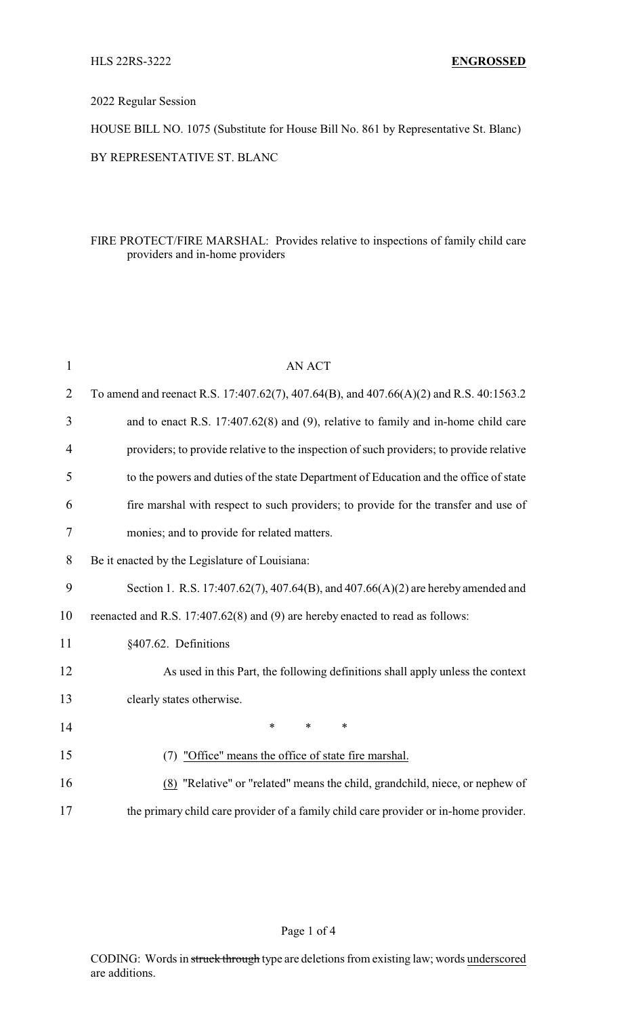2022 Regular Session

HOUSE BILL NO. 1075 (Substitute for House Bill No. 861 by Representative St. Blanc) BY REPRESENTATIVE ST. BLANC

## FIRE PROTECT/FIRE MARSHAL: Provides relative to inspections of family child care providers and in-home providers

| $\mathbf{1}$   | <b>AN ACT</b>                                                                           |
|----------------|-----------------------------------------------------------------------------------------|
| $\overline{2}$ | To amend and reenact R.S. 17:407.62(7), 407.64(B), and 407.66(A)(2) and R.S. 40:1563.2  |
| 3              | and to enact R.S. 17:407.62(8) and (9), relative to family and in-home child care       |
| $\overline{4}$ | providers; to provide relative to the inspection of such providers; to provide relative |
| 5              | to the powers and duties of the state Department of Education and the office of state   |
| 6              | fire marshal with respect to such providers; to provide for the transfer and use of     |
| 7              | monies; and to provide for related matters.                                             |
| 8              | Be it enacted by the Legislature of Louisiana:                                          |
| 9              | Section 1. R.S. 17:407.62(7), 407.64(B), and 407.66(A)(2) are hereby amended and        |
| 10             | reenacted and R.S. 17:407.62(8) and (9) are hereby enacted to read as follows:          |
| 11             | §407.62. Definitions                                                                    |
| 12             | As used in this Part, the following definitions shall apply unless the context          |
| 13             | clearly states otherwise.                                                               |
| 14             | $\ast$<br>$\ast$<br>$\ast$                                                              |
| 15             | (7) "Office" means the office of state fire marshal.                                    |
| 16             | (8) "Relative" or "related" means the child, grandchild, niece, or nephew of            |
| 17             | the primary child care provider of a family child care provider or in-home provider.    |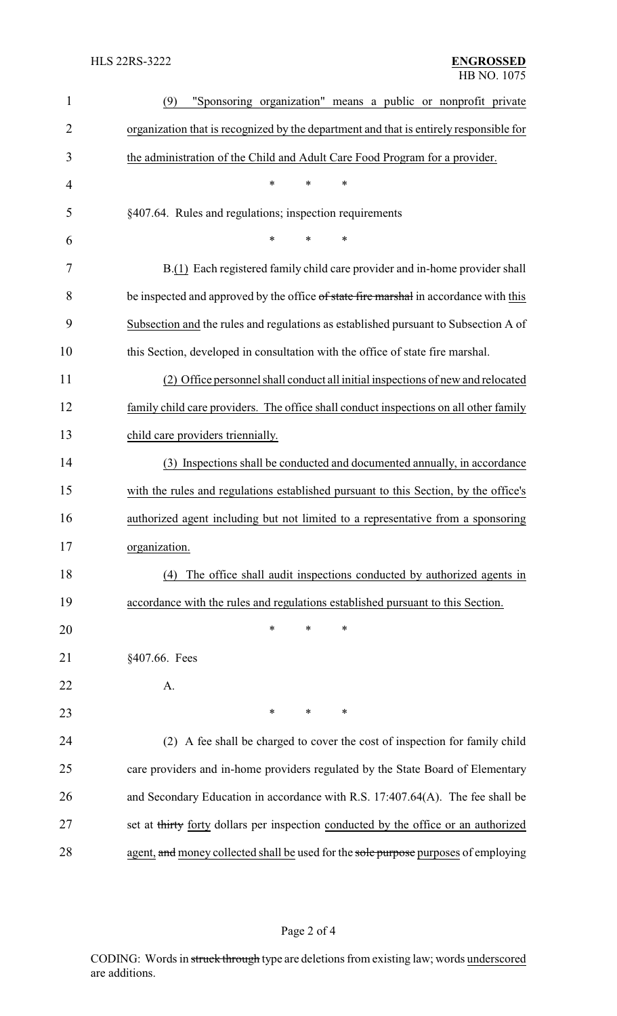| $\mathbf{1}$   | "Sponsoring organization" means a public or nonprofit private<br>(9)                   |
|----------------|----------------------------------------------------------------------------------------|
| $\overline{2}$ | organization that is recognized by the department and that is entirely responsible for |
| 3              | the administration of the Child and Adult Care Food Program for a provider.            |
| 4              | *<br>$\ast$<br>$\ast$                                                                  |
| 5              | §407.64. Rules and regulations; inspection requirements                                |
| 6              | $\ast$<br>$\ast$<br>*                                                                  |
| 7              | B.(1) Each registered family child care provider and in-home provider shall            |
| 8              | be inspected and approved by the office of state fire marshal in accordance with this  |
| 9              | Subsection and the rules and regulations as established pursuant to Subsection A of    |
| 10             | this Section, developed in consultation with the office of state fire marshal.         |
| 11             | (2) Office personnel shall conduct all initial inspections of new and relocated        |
| 12             | family child care providers. The office shall conduct inspections on all other family  |
| 13             | child care providers triennially.                                                      |
| 14             | (3) Inspections shall be conducted and documented annually, in accordance              |
| 15             | with the rules and regulations established pursuant to this Section, by the office's   |
| 16             | authorized agent including but not limited to a representative from a sponsoring       |
| 17             | organization.                                                                          |
| 18             | The office shall audit inspections conducted by authorized agents in<br>(4)            |
| 19             | accordance with the rules and regulations established pursuant to this Section.        |
| 20             | $\ast$<br>∗<br>∗                                                                       |
| 21             | §407.66. Fees                                                                          |
| 22             | A.                                                                                     |
| 23             | $\ast$<br>∗<br>∗                                                                       |
| 24             | (2) A fee shall be charged to cover the cost of inspection for family child            |
| 25             | care providers and in-home providers regulated by the State Board of Elementary        |
| 26             | and Secondary Education in accordance with R.S. 17:407.64(A). The fee shall be         |
| 27             | set at thirty forty dollars per inspection conducted by the office or an authorized    |
| 28             | agent, and money collected shall be used for the sole purpose purposes of employing    |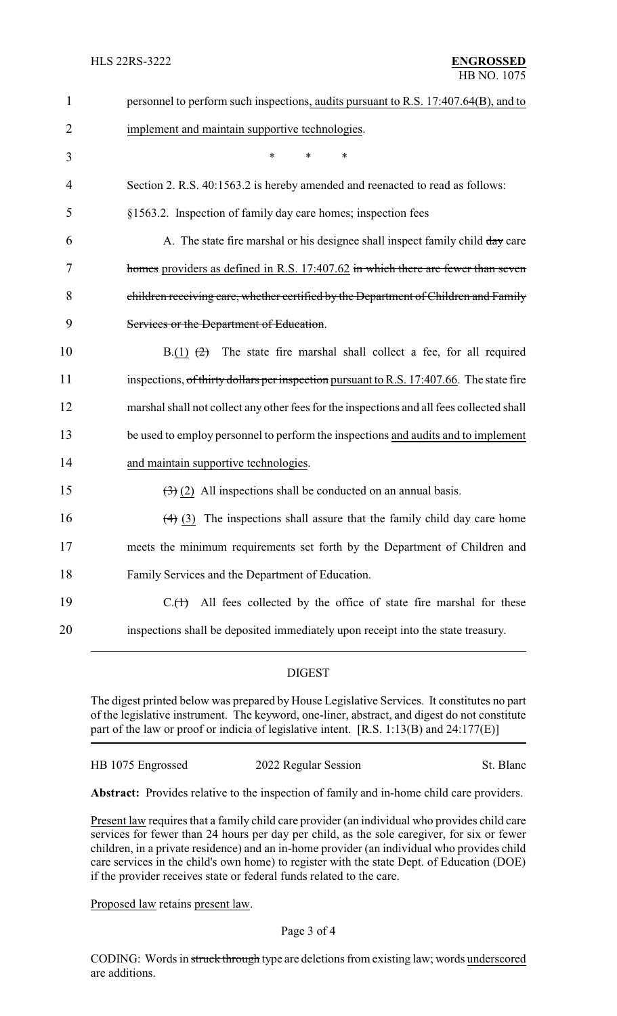| $\mathbf{1}$   | personnel to perform such inspections, audits pursuant to R.S. 17:407.64(B), and to       |
|----------------|-------------------------------------------------------------------------------------------|
| $\overline{2}$ | implement and maintain supportive technologies.                                           |
| 3              | *<br>*<br>*                                                                               |
| 4              | Section 2. R.S. 40:1563.2 is hereby amended and reenacted to read as follows:             |
| 5              | §1563.2. Inspection of family day care homes; inspection fees                             |
| 6              | A. The state fire marshal or his designee shall inspect family child day care             |
| 7              | homes providers as defined in R.S. 17:407.62 in which there are fewer than seven          |
| 8              | children receiving care, whether certified by the Department of Children and Family       |
| 9              | Services or the Department of Education.                                                  |
| 10             | The state fire marshal shall collect a fee, for all required<br>$B(1)$ $(2)$              |
| 11             | inspections, of thirty dollars per inspection pursuant to R.S. 17:407.66. The state fire  |
| 12             | marshal shall not collect any other fees for the inspections and all fees collected shall |
| 13             | be used to employ personnel to perform the inspections and audits and to implement        |
| 14             | and maintain supportive technologies.                                                     |
| 15             | $\left(\frac{1}{2}\right)$ (2) All inspections shall be conducted on an annual basis.     |
| 16             | $(4)$ (3) The inspections shall assure that the family child day care home                |
| 17             | meets the minimum requirements set forth by the Department of Children and                |
| 18             | Family Services and the Department of Education.                                          |
| 19             | All fees collected by the office of state fire marshal for these<br>$C1(+)$               |
| 20             | inspections shall be deposited immediately upon receipt into the state treasury.          |
|                |                                                                                           |

## DIGEST

The digest printed below was prepared by House Legislative Services. It constitutes no part of the legislative instrument. The keyword, one-liner, abstract, and digest do not constitute part of the law or proof or indicia of legislative intent. [R.S. 1:13(B) and 24:177(E)]

HB 1075 Engrossed 2022 Regular Session St. Blanc

**Abstract:** Provides relative to the inspection of family and in-home child care providers.

Present law requires that a family child care provider (an individual who provides child care services for fewer than 24 hours per day per child, as the sole caregiver, for six or fewer children, in a private residence) and an in-home provider (an individual who provides child care services in the child's own home) to register with the state Dept. of Education (DOE) if the provider receives state or federal funds related to the care.

Proposed law retains present law.

CODING: Words in struck through type are deletions from existing law; words underscored are additions.